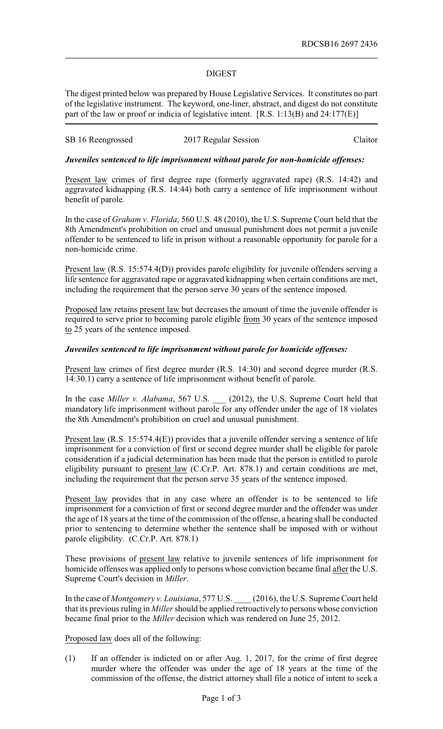## DIGEST

The digest printed below was prepared by House Legislative Services. It constitutes no part of the legislative instrument. The keyword, one-liner, abstract, and digest do not constitute part of the law or proof or indicia of legislative intent. [R.S. 1:13(B) and 24:177(E)]

# SB 16 Reengrossed 2017 Regular Session Claitor

## *Juveniles sentenced to life imprisonment without parole for non-homicide offenses:*

Present law crimes of first degree rape (formerly aggravated rape) (R.S. 14:42) and aggravated kidnapping (R.S. 14:44) both carry a sentence of life imprisonment without benefit of parole.

In the case of *Graham v. Florida*, 560 U.S. 48 (2010), the U.S. Supreme Court held that the 8th Amendment's prohibition on cruel and unusual punishment does not permit a juvenile offender to be sentenced to life in prison without a reasonable opportunity for parole for a non-homicide crime.

Present law (R.S. 15:574.4(D)) provides parole eligibility for juvenile offenders serving a life sentence for aggravated rape or aggravated kidnapping when certain conditions are met, including the requirement that the person serve 30 years of the sentence imposed.

Proposed law retains present law but decreases the amount of time the juvenile offender is required to serve prior to becoming parole eligible from 30 years of the sentence imposed to 25 years of the sentence imposed.

### *Juveniles sentenced to life imprisonment without parole for homicide offenses:*

Present law crimes of first degree murder (R.S. 14:30) and second degree murder (R.S. 14:30.1) carry a sentence of life imprisonment without benefit of parole.

In the case *Miller v. Alabama*, 567 U.S. \_\_\_ (2012), the U.S. Supreme Court held that mandatory life imprisonment without parole for any offender under the age of 18 violates the 8th Amendment's prohibition on cruel and unusual punishment.

Present law (R.S. 15:574.4(E)) provides that a juvenile offender serving a sentence of life imprisonment for a conviction of first or second degree murder shall be eligible for parole consideration if a judicial determination has been made that the person is entitled to parole eligibility pursuant to present law (C.Cr.P. Art. 878.1) and certain conditions are met, including the requirement that the person serve 35 years of the sentence imposed.

Present law provides that in any case where an offender is to be sentenced to life imprisonment for a conviction of first or second degree murder and the offender was under the age of 18 years at the time of the commission of the offense, a hearing shall be conducted prior to sentencing to determine whether the sentence shall be imposed with or without parole eligibility. (C.Cr.P. Art. 878.1)

These provisions of present law relative to juvenile sentences of life imprisonment for homicide offenses was applied only to persons whose conviction became final after the U.S. Supreme Court's decision in *Miller*.

In the case of *Montgomery v. Louisiana*, 577 U.S. \_\_\_\_ (2016), the U.S. Supreme Court held that its previous ruling in *Miller*should be applied retroactively to persons whose conviction became final prior to the *Miller* decision which was rendered on June 25, 2012.

Proposed law does all of the following:

(1) If an offender is indicted on or after Aug. 1, 2017, for the crime of first degree murder where the offender was under the age of 18 years at the time of the commission of the offense, the district attorney shall file a notice of intent to seek a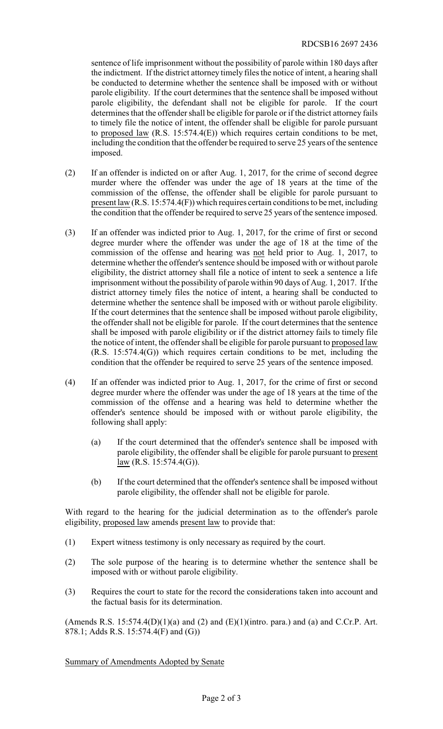sentence of life imprisonment without the possibility of parole within 180 days after the indictment. If the district attorney timely files the notice of intent, a hearing shall be conducted to determine whether the sentence shall be imposed with or without parole eligibility. If the court determines that the sentence shall be imposed without parole eligibility, the defendant shall not be eligible for parole. If the court determines that the offender shall be eligible for parole or if the district attorney fails to timely file the notice of intent, the offender shall be eligible for parole pursuant to proposed law  $(R.S. 15:574.4(E))$  which requires certain conditions to be met, including the condition that the offender be required to serve 25 years of the sentence imposed.

- (2) If an offender is indicted on or after Aug. 1, 2017, for the crime of second degree murder where the offender was under the age of 18 years at the time of the commission of the offense, the offender shall be eligible for parole pursuant to present law (R.S. 15:574.4(F)) which requires certain conditions to be met, including the condition that the offender be required to serve 25 years of the sentence imposed.
- (3) If an offender was indicted prior to Aug. 1, 2017, for the crime of first or second degree murder where the offender was under the age of 18 at the time of the commission of the offense and hearing was not held prior to Aug. 1, 2017, to determine whether the offender's sentence should be imposed with or without parole eligibility, the district attorney shall file a notice of intent to seek a sentence a life imprisonment without the possibility of parole within 90 days of Aug. 1, 2017. If the district attorney timely files the notice of intent, a hearing shall be conducted to determine whether the sentence shall be imposed with or without parole eligibility. If the court determines that the sentence shall be imposed without parole eligibility, the offender shall not be eligible for parole. If the court determines that the sentence shall be imposed with parole eligibility or if the district attorney fails to timely file the notice of intent, the offender shall be eligible for parole pursuant to proposed law (R.S. 15:574.4(G)) which requires certain conditions to be met, including the condition that the offender be required to serve 25 years of the sentence imposed.
- (4) If an offender was indicted prior to Aug. 1, 2017, for the crime of first or second degree murder where the offender was under the age of 18 years at the time of the commission of the offense and a hearing was held to determine whether the offender's sentence should be imposed with or without parole eligibility, the following shall apply:
	- (a) If the court determined that the offender's sentence shall be imposed with parole eligibility, the offender shall be eligible for parole pursuant to present  $law (R.S. 15:574.4(G)).$
	- (b) If the court determined that the offender's sentence shall be imposed without parole eligibility, the offender shall not be eligible for parole.

With regard to the hearing for the judicial determination as to the offender's parole eligibility, proposed law amends present law to provide that:

- (1) Expert witness testimony is only necessary as required by the court.
- (2) The sole purpose of the hearing is to determine whether the sentence shall be imposed with or without parole eligibility.
- (3) Requires the court to state for the record the considerations taken into account and the factual basis for its determination.

(Amends R.S. 15:574.4(D)(1)(a) and (2) and (E)(1)(intro. para.) and (a) and C.Cr.P. Art. 878.1; Adds R.S. 15:574.4(F) and (G))

Summary of Amendments Adopted by Senate